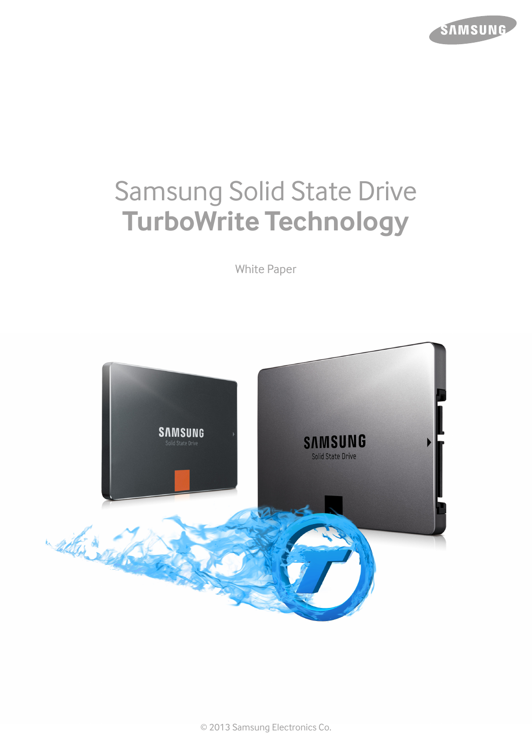

# Samsung Solid State Drive **TurboWrite Technology**

White Paper



© 2013 Samsung Electronics Co.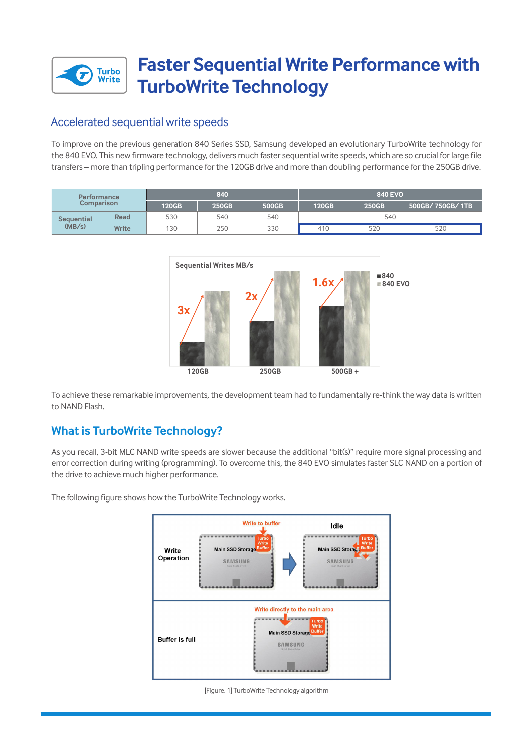

## **Faster Sequential Write Performance with TurboWrite Technology**

## Accelerated sequential write speeds

To improve on the previous generation 840 Series SSD, Samsung developed an evolutionary TurboWrite technology for the 840 EVO. This new firmware technology, delivers much faster sequential write speeds, which are so crucial for large file transfers – more than tripling performance for the 120GB drive and more than doubling performance for the 250GB drive.

| <b>Performance</b><br><b>Comparison</b> |              | 840   |       |       | <b>840 EVO</b> |       |                 |
|-----------------------------------------|--------------|-------|-------|-------|----------------|-------|-----------------|
|                                         |              | 120GB | 250GB | 500GB | <b>120GB</b>   | 250GB | 500GB/750GB/1TB |
| <b>Sequential</b><br>(MB/s)             | Read         | 530   | 540   | 540   | 540            |       |                 |
|                                         | <b>Write</b> | 130   | 250   | 330   | 410            | 520   | 520             |



To achieve these remarkable improvements, the development team had to fundamentally re-think the way data is written to NAND Flash.

## **What is TurboWrite Technology?**

As you recall, 3-bit MLC NAND write speeds are slower because the additional "bit(s)" require more signal processing and error correction during writing (programming). To overcome this, the 840 EVO simulates faster SLC NAND on a portion of the drive to achieve much higher performance.



The following figure shows how the TurboWrite Technology works.

[Figure. 1] TurboWrite Technology algorithm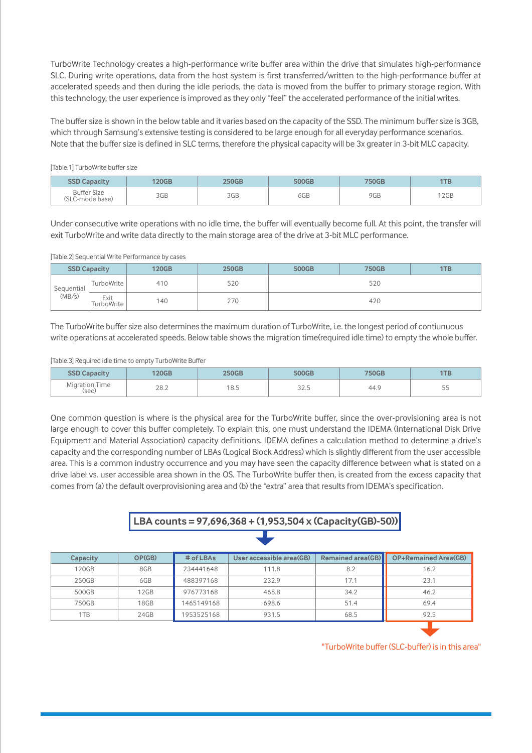TurboWrite Technology creates a high-performance write buffer area within the drive that simulates high-performance SLC. During write operations, data from the host system is first transferred/written to the high-performance buffer at accelerated speeds and then during the idle periods, the data is moved from the buffer to primary storage region. With this technology, the user experience is improved as they only "feel" the accelerated performance of the initial writes.

The buffer size is shown in the below table and it varies based on the capacity of the SSD. The minimum buffer size is 3GB, which through Samsung's extensive testing is considered to be large enough for all everyday performance scenarios. Note that the buffer size is defined in SLC terms, therefore the physical capacity will be 3x greater in 3-bit MLC capacity.

#### [Table.1] TurboWrite buffer size

| <b>Capacity</b>                              |                        |            |     | <b>750Gb</b> | 1 I B       |
|----------------------------------------------|------------------------|------------|-----|--------------|-------------|
| <b>Buffer Size</b><br>(SLC·<br>C-mode base). | 2C <sub>F</sub><br>JUD | 2CD<br>JUD | 6GB | 9GB          | .005<br>ZUD |

Under consecutive write operations with no idle time, the buffer will eventually become full. At this point, the transfer will exit TurboWrite and write data directly to the main storage area of the drive at 3-bit MLC performance.

#### [Table.2] Sequential Write Performance by cases

| <b>SSD Capacity</b>  |                                 | <b>120GB</b> | <b>250GB</b> | <b>750GB</b><br>500GB |     | 1TB |  |
|----------------------|---------------------------------|--------------|--------------|-----------------------|-----|-----|--|
| Sequential<br>(MB/s) | TurboWrite                      | 410          | 520          |                       | 520 |     |  |
|                      | Exit<br>TurboWrite <sub>1</sub> | 140          | 270          | 420                   |     |     |  |

The TurboWrite buffer size also determines the maximum duration of TurboWrite, i.e. the longest period of contiunuous write operations at accelerated speeds. Below table shows the migration time(required idle time) to empty the whole buffer.

#### [Table.3] Required idle time to empty TurboWrite Buffer

| <b>SSD Capacity</b>          |      |           |                  | <b>"50Gb.</b> | 1ТВ          |
|------------------------------|------|-----------|------------------|---------------|--------------|
| Time<br>Migration T<br>(sec) | 28.2 | -<br>18.5 | $22 - 7$<br>ن.∠د | 44.5          | $- -$<br>ں ر |

One common question is where is the physical area for the TurboWrite buffer, since the over-provisioning area is not large enough to cover this buffer completely. To explain this, one must understand the IDEMA (International Disk Drive Equipment and Material Association) capacity definitions. IDEMA defines a calculation method to determine a drive's capacity and the corresponding number of LBAs (Logical Block Address) which is slightly different from the user accessible area. This is a common industry occurrence and you may have seen the capacity difference between what is stated on a drive label vs. user accessible area shown in the OS. The TurboWrite buffer then, is created from the excess capacity that comes from (a) the default overprovisioning area and (b) the "extra" area that results from IDEMA's specification.

## **LBA counts = 97,696,368 + (1,953,504 x (Capacity(GB)-50))**

| Capacity | OP(GB) | # of LBAs  | User accessible area(GB) | <b>Remained area(GB)</b> | <b>OP+Remained Area(GB)</b> |
|----------|--------|------------|--------------------------|--------------------------|-----------------------------|
| 120GB    | 8GB    | 234441648  | 111.8                    | 8.2                      | 16.2                        |
| 250GB    | 6GB    | 488397168  | 232.9                    | 17.1                     | 23.1                        |
| 500GB    | 12GB   | 976773168  | 465.8                    | 34.2                     | 46.2                        |
| 750GB    | 18GB   | 1465149168 | 698.6                    | 51.4                     | 69.4                        |
| 1TB      | 24GB   | 1953525168 | 931.5                    | 68.5                     | 92.5                        |
|          |        |            |                          |                          |                             |

"TurboWrite buffer (SLC-buffer) is in this area"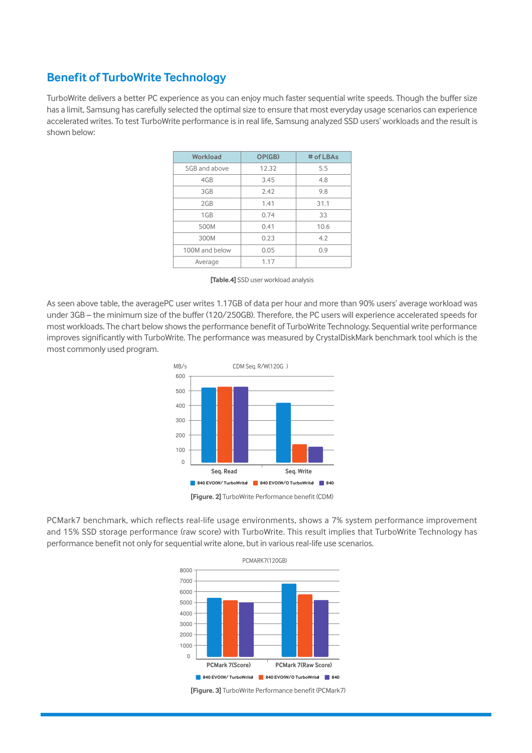## **Benefit of TurboWrite Technology**

TurboWrite delivers a better PC experience as you can enjoy much faster sequential write speeds. Though the buffer size has a limit, Samsung has carefully selected the optimal size to ensure that most everyday usage scenarios can experience accelerated writes. To test TurboWrite performance is in real life, Samsung analyzed SSD users' workloads and the result is shown below:

| Workload       | OP(GB) | # of LBAs |
|----------------|--------|-----------|
| 5GB and above  | 12.32  | 5.5       |
| 4GB            | 3.45   | 4.8       |
| 3GB            | 2.42   | 9.8       |
| 2GB            | 1.41   | 31.1      |
| 1GB            | 0.74   | 33        |
| 500M           | 0.41   | 10.6      |
| 300M           | 0.23   | 4.2       |
| 100M and below | 0.05   | 0.9       |
| Average        | 1.17   |           |

**[Table.4]** SSD user workload analysis

As seen above table, the averagePC user writes 1.17GB of data per hour and more than 90% users' average workload was under 3GB – the minimum size of the buffer (120/250GB). Therefore, the PC users will experience accelerated speeds for most workloads. The chart below shows the performance benefit of TurboWrite Technology. Sequential write performance improves significantly with TurboWrite. The performance was measured by CrystalDiskMark benchmark tool which is the most commonly used program.



**[Figure. 2]** TurboWrite Performance benefit (CDM)

PCMark7 benchmark, which reflects real-life usage environments, shows a 7% system performance improvement and 15% SSD storage performance (raw score) with TurboWrite. This result implies that TurboWrite Technology has performance benefit not only for sequential write alone, but in various real-life use scenarios.



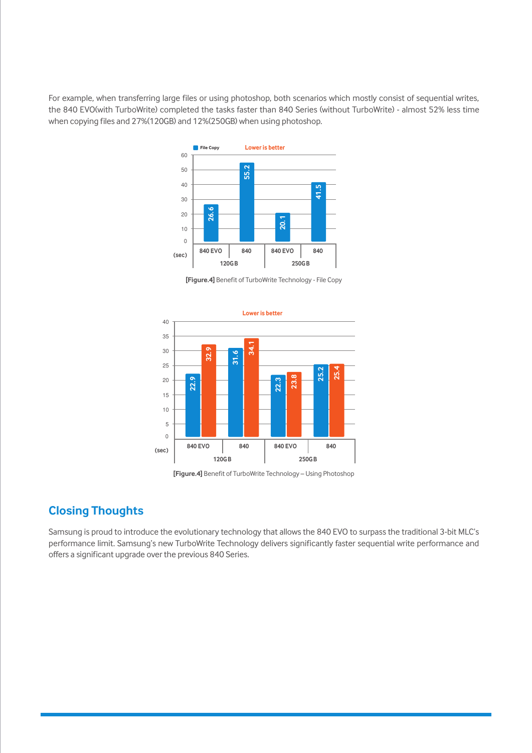For example, when transferring large files or using photoshop, both scenarios which mostly consist of sequential writes, the 840 EVO(with TurboWrite) completed the tasks faster than 840 Series (without TurboWrite) - almost 52% less time when copying files and 27%(120GB) and 12%(250GB) when using photoshop.



**[Figure.4]** Benefit of TurboWrite Technology - File Copy



**[Figure.4]** Benefit of TurboWrite Technology – Using Photoshop

### **Closing Thoughts**

Samsung is proud to introduce the evolutionary technology that allows the 840 EVO to surpass the traditional 3-bit MLC's performance limit. Samsung's new TurboWrite Technology delivers significantly faster sequential write performance and offers a significant upgrade over the previous 840 Series.